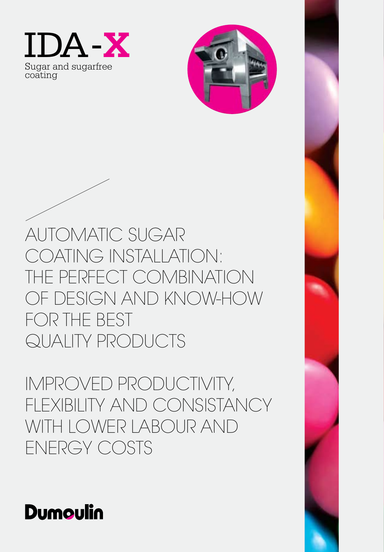



AUTOMATIC SUGAR COATING INSTALLATION: THE PERFECT COMBINATION OF DESIGN AND KNOW-HOW FOR THE BEST QUALITY PRODUCTS

IMPROVED PRODUCTIVITY, FLEXIBILITY AND CONSISTANCY WITH LOWER LABOUR AND ENERGY COSTS

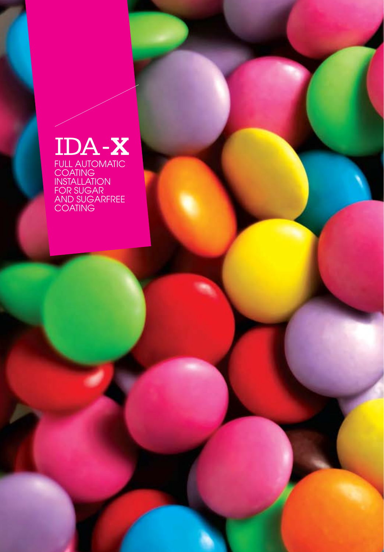# IDA-**X**

FULL AUTOMATIC COATING INSTALLATION FOR SUGAR AND SUGARFREE COATING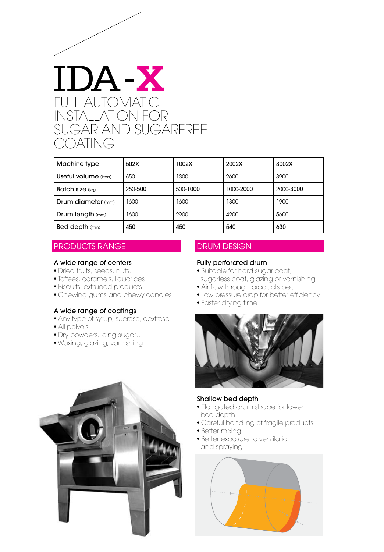

| Machine type           | 502X    | 002X     | 2002X     | 3002X     |
|------------------------|---------|----------|-----------|-----------|
| Useful volume (liters) | 650     | 1300     | 2600      | 3900      |
| <b>Batch size (kg)</b> | 250-500 | 500-1000 | 1000-2000 | 2000-3000 |
| Drum diameter (mm)     | 1600    | 1600     | 1800      | 1900      |
| Drum length (mm)       | 1600    | 2900     | 4200      | 5600      |
| <b>Bed depth</b> (mm)  | 450     | 450      | 540       | 630       |

# PRODUCTS RANGE

#### A wide range of centers

- Dried fruits, seeds, nuts...
- Toffees, caramels, liquorices…
- Biscuits, extruded products
- Chewing gums and chewy candies

#### A wide range of coatings

- Any type of syrup, sucrose, dextrose
- All polyols
- Dry powders, icing sugar…
- Waxing, glazing, varnishing

# DRUM DESIGN

## Fully perforated drum

- Suitable for hard sugar coat, sugarless coat, glazing or varnishing
- Air flow through products bed
- Low pressure drop for better efficiency
- Faster drying time



#### Shallow bed depth

- Elongated drum shape for lower bed depth
- Careful handling of fragile products
- Better mixing
- Better exposure to ventilation and spraying



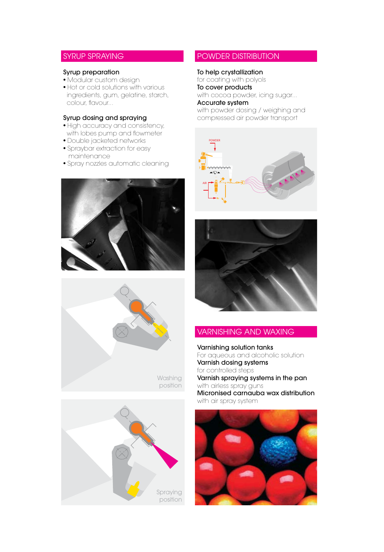# SYRUP SPRAYING

#### Syrup preparation

- Modular custom design
- Hot or cold solutions with various ingredients, gum, gelatine, starch, colour, flavour...

#### Syrup dosing and spraying

- High accuracy and consistency, with lobes pump and flowmeter
- Double jacketed networks
- Spraybar extraction for easy maintenance
- Spray nozzles automatic cleaning







# POWDER DISTRIBUTION

#### To help crystallization

for coating with polyols To cover products with cocoa powder, icing sugar...

#### Accurate system

with powder dosing / weighing and compressed air powder transport





# VARNISHING AND WAXING

Varnishing solution tanks For aqueous and alcoholic solution Varnish dosing systems for controlled steps Varnish spraying systems in the pan with airless spray guns Micronised carnauba wax distribution with air spray system

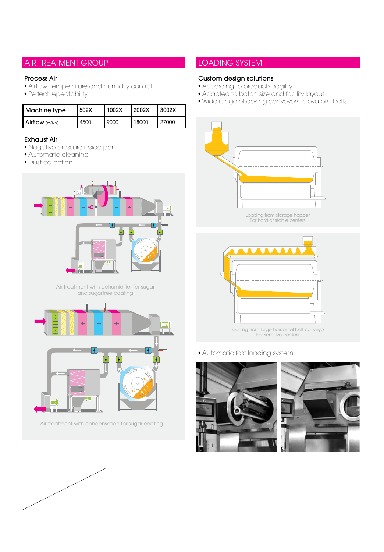# AIR TREATMENT GROUP

#### Process Air

- Airflow, temperature and humidity control
- Perfect repeatability

| l Machine tvpe | 1502X | 1002X | 12002X | <b>L3002X</b> |
|----------------|-------|-------|--------|---------------|
| Airflow (m3/h) | 4500  | 9000  | 18000  | 27000         |

## Exhaust Air

- Negative pressure inside pan
- Automatic cleaning
- Dust collection



Air treatment with dehumidifier for sugar and sugarfree coating



Air treatment with condensation for sugar coating



# LOADING SYSTEM

## Custom design solutions

- According to products fragility
- Adapted to batch size and facility layout
- Wide range of dosing conveyors, elevators, belts





Loading from large horizontal belt conveyor For sensitive centers

• Automatic fast loading system



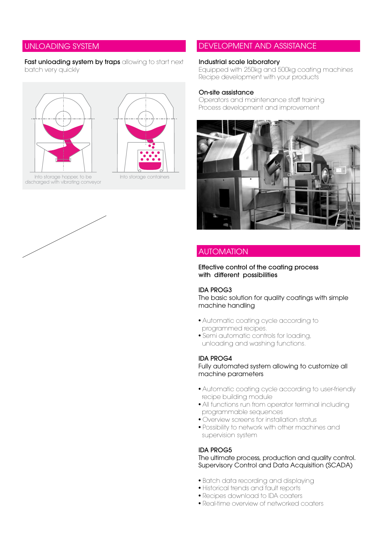## UNLOADING SYSTEM

#### Fast unloading system by traps allowing to start next batch very quickly





Into storage hopper, to be discharged with vibrating conveyor



## DEVELOPMENT AND ASSISTANCE

#### Industrial scale laboratory

Equipped with 250kg and 500kg coating machines Recipe development with your products

#### On-site assistance

Operators and maintenance staff training Process development and improvement



## AUTOMATION

Effective control of the coating process with different possibilities

## IDA PROG3

The basic solution for quality coatings with simple machine handling

- Automatic coating cycle according to programmed recipes.
- Semi automatic controls for loading, unloading and washing functions.

#### IDA PROG4

Fully automated system allowing to customize all machine parameters

- Automatic coating cycle according to user-friendly recipe building module
- All functions run from operator terminal including programmable sequences
- Overview screens for installation status
- Possibility to network with other machines and supervision system

## IDA PROG5

The ultimate process, production and quality control. Supervisory Control and Data Acquisition (SCADA)

- Batch data recording and displaying
- Historical trends and fault reports
- Recipes download to IDA coaters
- Real-time overview of networked coaters